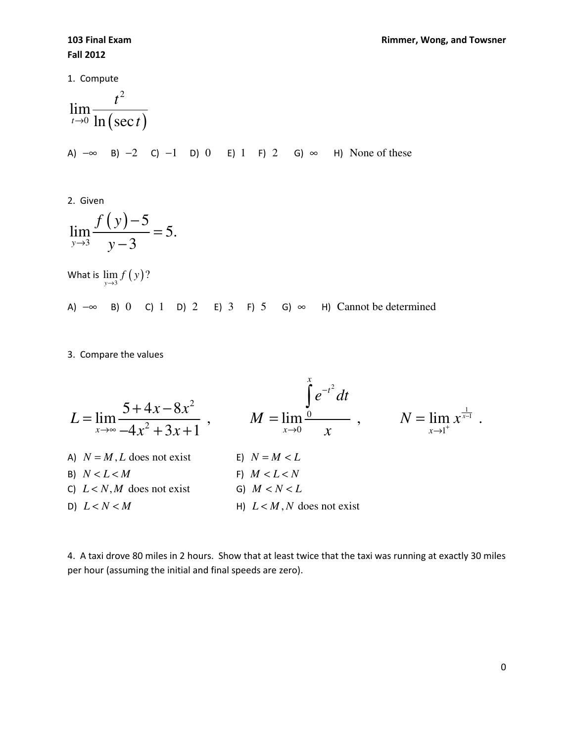1. Compute

$$
\lim_{t\to 0}\frac{t^2}{\ln(\sec t)}
$$

A)  $-\infty$  B)  $-2$  C)  $-1$  D) 0 E) 1 F) 2 G)  $\infty$  H) None of these

2. Given

$$
\lim_{y \to 3} \frac{f(y) - 5}{y - 3} = 5.
$$

What is  $\lim\limits_{\mathrm{y}\rightarrow \mathrm{3}}f\left( \mathrm{y}\right) ?$ 

A)  $-\infty$  B) 0 C) 1 D) 2 E) 3 F) 5 G)  $\infty$  H) Cannot be determined

3. Compare the values

$$
L = \lim_{x \to \infty} \frac{5 + 4x - 8x^2}{-4x^2 + 3x + 1}, \qquad M = \lim_{x \to 0} \frac{\int_{0}^{x} e^{-t^2} dt}{x}, \qquad N = \lim_{x \to 1^{+}} x^{\frac{1}{x-1}}.
$$
  
\nA)  $N = M, L$  does not exist  
\nB)  $N < L < M$   
\nC)  $L < N, M$  does not exist  
\nD)  $L < N < M$   
\nE)  $N = M < L$   
\nE)  $N = M < L$   
\nE)  $N = M < L$   
\nE)  $N = M < L$   
\nE)  $N < L < N$   
\nE)  $N = M < L$   
\nE)  $N = M < L$   
\nE)  $M < L < N$   
\nE)  $M < L < N$   
\nE)  $M < L < N$   
\nE)  $M < L < N$   
\nE)  $M < L < N$   
\nE)  $M < L < N$   
\nE)  $M < L < N$   
\nE)  $M < L < N$   
\nE)  $M < L < N$   
\nE)  $M < L < N$   
\nE)  $M < L < N$   
\nE)  $M < L < N$   
\nE)  $M < L < N$   
\nE)  $M < L < N$   
\nE)  $M < L < N$   
\nE)  $M < L < N$   
\nE)  $M < L < N$   
\nE)  $M < L < N$   
\nE)  $M < L < N$   
\nE)  $M < L < N$   
\nE)  $M < L < N$   
\nE)  $M < L < N$   
\nE)  $M < L < N$   
\nE)  $M < L < N$   
\nE)  $M < L < N$   
\nE)  $M < L < N$   
\nE)  $M < L < N$   
\nE)  $M < L < N$   
\nE)  $M < L < N$   
\nE)  $M < L < N$   
\nE)  $M < L < N$   
\nE)  $M < L < N$   
\nE

4. A taxi drove 80 miles in 2 hours. Show that at least twice that the taxi was running at exactly 30 miles per hour (assuming the initial and final speeds are zero).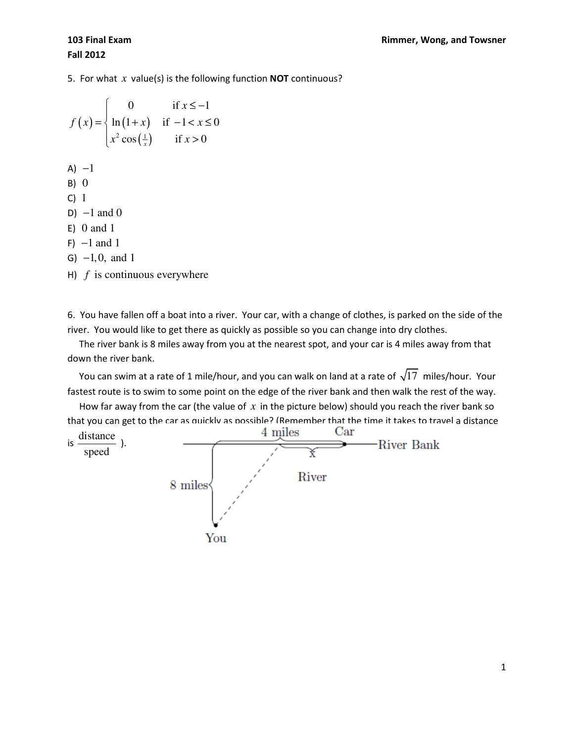5. For what *x* value(s) is the following function NOT continuous?

$$
f(x) = \begin{cases} 0 & \text{if } x \le -1 \\ \ln(1+x) & \text{if } -1 < x \le 0 \\ x^2 \cos(\frac{1}{x}) & \text{if } x > 0 \end{cases}
$$
  
\nA) -1  
\nB) 0  
\nC) 1  
\nD) -1 and 0  
\nE) 0 and 1  
\nF) -1 and 1  
\nG) -1, 0, and 1  
\nH) f is continuous everywhere

6. You have fallen off a boat into a river. Your car, with a change of clothes, is parked on the side of the river. You would like to get there as quickly as possible so you can change into dry clothes.

 The river bank is 8 miles away from you at the nearest spot, and your car is 4 miles away from that down the river bank.

You can swim at a rate of 1 mile/hour, and you can walk on land at a rate of  $\sqrt{17}$  miles/hour. Your fastest route is to swim to some point on the edge of the river bank and then walk the rest of the way.

 How far away from the car (the value of *x* in the picture below) should you reach the river bank so that you can get to the car as quickly as possible? (Remember that the time it takes to travel a distance

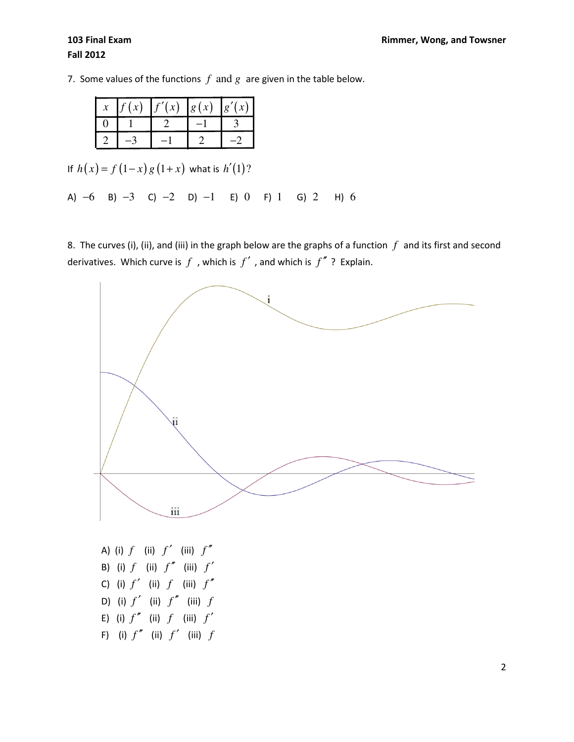7. Some values of the functions  $f$  and  $g$  are given in the table below.

| f(x) | $f'(x)$ $ g(x) $ | g'(x) |
|------|------------------|-------|
|      |                  |       |
|      |                  |       |

If  $h(x) = f(1-x) g(1+x)$  what is  $h'(1)$ ?

A) −6 B) −3 C) −2 D) −1 E) 0 F) 1 G) 2 H) 6

8. The curves (i), (ii), and (iii) in the graph below are the graphs of a function *f* and its first and second derivatives. Which curve is  $f$ , which is  $f'$ , and which is  $f''$ ? Explain.



A) (i) *f* (ii) *f* ′ (iii) *f* ′′ B) (i) *f* (ii) *f* ′′ (iii) *f* ′ C) (i)  $f'$  (ii)  $f$  (iii)  $f''$ D) (i)  $f'$  (ii)  $f''$  (iii)  $f$ E) (i)  $f''$  (ii)  $f$  (iii)  $f'$ F) (i)  $f''$  (ii)  $f'$  (iii)  $f$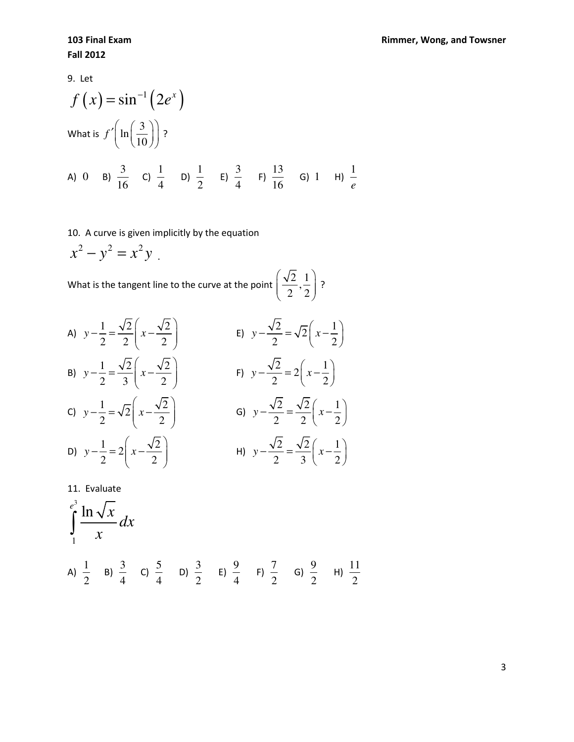9. Let

$$
f(x) = \sin^{-1} (2e^{x})
$$
  
\nWhat is  $f'(\ln(\frac{3}{10}))$ ?  
\nA) 0 B)  $\frac{3}{16}$  C)  $\frac{1}{4}$  D)  $\frac{1}{2}$  E)  $\frac{3}{4}$  F)  $\frac{13}{16}$  G) 1 H)  $\frac{1}{e}$ 

## 10. A curve is given implicitly by the equation

 $x^2 - y^2 = x^2y$ .

What is the tangent line to the curve at the point  $\left(\frac{\sqrt{2}}{2}, \frac{1}{2}\right)$  $2^{\prime}2$  $\left(\frac{\sqrt{2}}{2},\frac{1}{2}\right)$  $\begin{pmatrix} 2 & 2 \end{pmatrix}$ ?

A) 
$$
y - \frac{1}{2} = \frac{\sqrt{2}}{2} \left( x - \frac{\sqrt{2}}{2} \right)
$$
  
\nB)  $y - \frac{1}{2} = \frac{\sqrt{2}}{3} \left( x - \frac{\sqrt{2}}{2} \right)$   
\nC)  $y - \frac{1}{2} = \sqrt{2} \left( x - \frac{\sqrt{2}}{2} \right)$   
\nD)  $y - \frac{1}{2} = 2 \left( x - \frac{\sqrt{2}}{2} \right)$   
\nE)  $y - \frac{\sqrt{2}}{2} = \sqrt{2} \left( x - \frac{1}{2} \right)$   
\nE)  $y - \frac{\sqrt{2}}{2} = 2 \left( x - \frac{1}{2} \right)$   
\nE)  $y - \frac{\sqrt{2}}{2} = 2 \left( x - \frac{1}{2} \right)$   
\nE)  $y - \frac{\sqrt{2}}{2} = 2 \left( x - \frac{1}{2} \right)$ 

11. Evaluate  
\n
$$
\int_{1}^{e^{3}} \frac{\ln \sqrt{x}}{x} dx
$$
\nA)  $\frac{1}{2}$  B)  $\frac{3}{4}$  C)  $\frac{5}{4}$  D)  $\frac{3}{2}$  E)  $\frac{9}{4}$  F)  $\frac{7}{2}$  G)  $\frac{9}{2}$  H)  $\frac{11}{2}$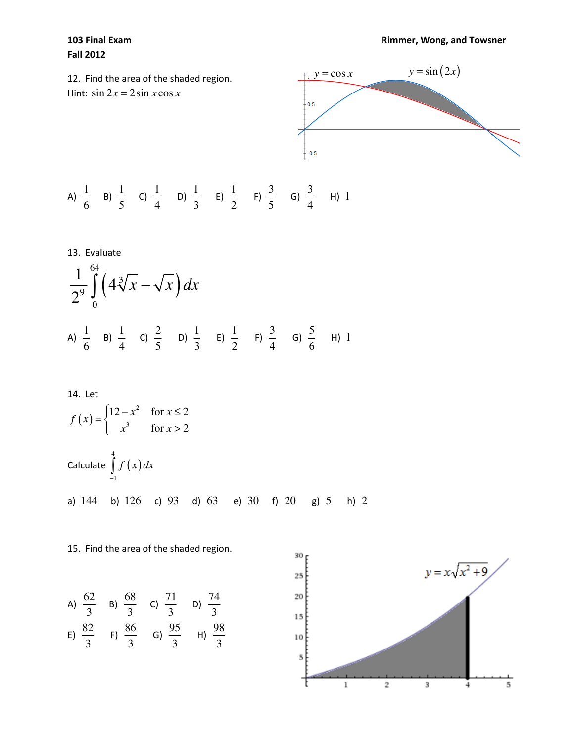## Fall 2012

12. Find the area of the shaded region. Hint:  $\sin 2x = 2 \sin x \cos x$ 



A) 
$$
\frac{1}{6}
$$
 B)  $\frac{1}{5}$  C)  $\frac{1}{4}$  D)  $\frac{1}{3}$  E)  $\frac{1}{2}$  F)  $\frac{3}{5}$  G)  $\frac{3}{4}$  H) 1

13. Evaluate  
\n
$$
\frac{1}{2^9} \int_{0}^{64} \left(4\sqrt[3]{x} - \sqrt{x}\right) dx
$$
\nA)  $\frac{1}{6}$  B)  $\frac{1}{4}$  C)  $\frac{2}{5}$  D)  $\frac{1}{3}$  E)  $\frac{1}{2}$  F)  $\frac{3}{4}$  G)  $\frac{5}{6}$  H) 1

14. Let  
\n
$$
f(x) = \begin{cases}\n12 - x^2 & \text{for } x \le 2 \\
x^3 & \text{for } x > 2\n\end{cases}
$$
\nCalculate  $\int_{-1}^{4} f(x) dx$   
\na) 144 b) 126 c) 93 d) 63 e) 30 f) 20 g) 5 h) 2

## 15. Find the area of the shaded region.

A) 
$$
\frac{62}{3}
$$
 B)  $\frac{68}{3}$  C)  $\frac{71}{3}$  D)  $\frac{74}{3}$   
\nE)  $\frac{82}{3}$  F)  $\frac{86}{3}$  G)  $\frac{95}{3}$  H)  $\frac{98}{3}$